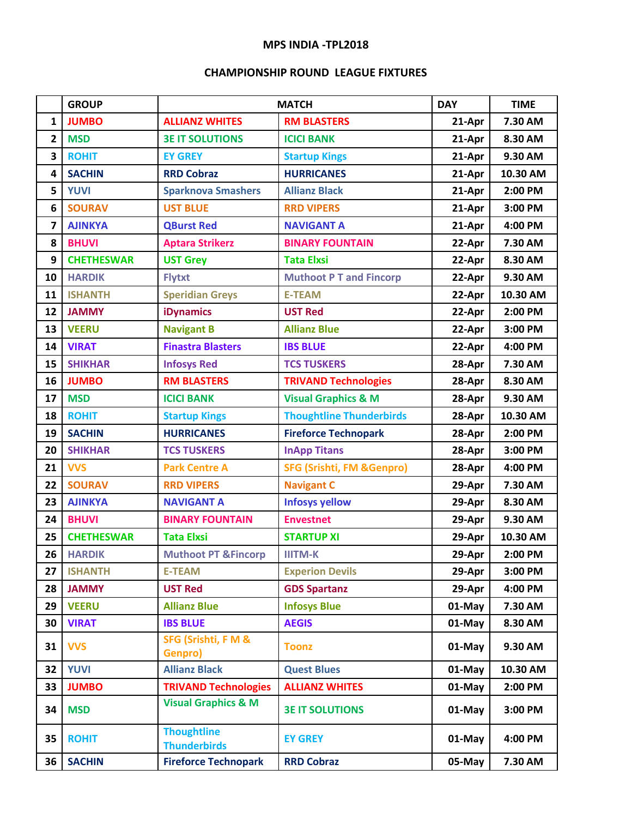## **MPS INDIA -TPL2018**

## **CHAMPIONSHIP ROUND LEAGUE FIXTURES**

|                | <b>GROUP</b>      | <b>MATCH</b>                              |                                      | <b>DAY</b> | <b>TIME</b> |
|----------------|-------------------|-------------------------------------------|--------------------------------------|------------|-------------|
| $\mathbf{1}$   | <b>JUMBO</b>      | <b>ALLIANZ WHITES</b>                     | <b>RM BLASTERS</b>                   | 21-Apr     | 7.30 AM     |
| $\overline{2}$ | <b>MSD</b>        | <b>3E IT SOLUTIONS</b>                    | <b>ICICI BANK</b>                    | 21-Apr     | 8.30 AM     |
| 3              | <b>ROHIT</b>      | <b>EY GREY</b>                            | <b>Startup Kings</b>                 | 21-Apr     | 9.30 AM     |
| 4              | <b>SACHIN</b>     | <b>RRD Cobraz</b>                         | <b>HURRICANES</b>                    | 21-Apr     | 10.30 AM    |
| 5              | <b>YUVI</b>       | <b>Sparknova Smashers</b>                 | <b>Allianz Black</b>                 | 21-Apr     | 2:00 PM     |
| 6              | <b>SOURAV</b>     | <b>UST BLUE</b>                           | <b>RRD VIPERS</b>                    | 21-Apr     | 3:00 PM     |
| 7              | <b>AJINKYA</b>    | <b>QBurst Red</b>                         | <b>NAVIGANT A</b>                    | 21-Apr     | 4:00 PM     |
| 8              | <b>BHUVI</b>      | <b>Aptara Strikerz</b>                    | <b>BINARY FOUNTAIN</b>               | 22-Apr     | 7.30 AM     |
| 9              | <b>CHETHESWAR</b> | <b>UST Grey</b>                           | <b>Tata Elxsi</b>                    | 22-Apr     | 8.30 AM     |
| 10             | <b>HARDIK</b>     | <b>Flytxt</b>                             | <b>Muthoot P T and Fincorp</b>       | 22-Apr     | 9.30 AM     |
| 11             | <b>ISHANTH</b>    | <b>Speridian Greys</b>                    | <b>E-TEAM</b>                        | 22-Apr     | 10.30 AM    |
| 12             | <b>JAMMY</b>      | <b>iDynamics</b>                          | <b>UST Red</b>                       | 22-Apr     | 2:00 PM     |
| 13             | <b>VEERU</b>      | <b>Navigant B</b>                         | <b>Allianz Blue</b>                  | 22-Apr     | 3:00 PM     |
| 14             | <b>VIRAT</b>      | <b>Finastra Blasters</b>                  | <b>IBS BLUE</b>                      | 22-Apr     | 4:00 PM     |
| 15             | <b>SHIKHAR</b>    | <b>Infosys Red</b>                        | <b>TCS TUSKERS</b>                   | 28-Apr     | 7.30 AM     |
| 16             | <b>JUMBO</b>      | <b>RM BLASTERS</b>                        | <b>TRIVAND Technologies</b>          | 28-Apr     | 8.30 AM     |
| 17             | <b>MSD</b>        | <b>ICICI BANK</b>                         | <b>Visual Graphics &amp; M</b>       | 28-Apr     | 9.30 AM     |
| 18             | <b>ROHIT</b>      | <b>Startup Kings</b>                      | <b>Thoughtline Thunderbirds</b>      | 28-Apr     | 10.30 AM    |
| 19             | <b>SACHIN</b>     | <b>HURRICANES</b>                         | <b>Fireforce Technopark</b>          | 28-Apr     | 2:00 PM     |
| 20             | <b>SHIKHAR</b>    | <b>TCS TUSKERS</b>                        | <b>InApp Titans</b>                  | 28-Apr     | 3:00 PM     |
| 21             | <b>VVS</b>        | <b>Park Centre A</b>                      | <b>SFG (Srishti, FM &amp;Genpro)</b> | 28-Apr     | 4:00 PM     |
| 22             | <b>SOURAV</b>     | <b>RRD VIPERS</b>                         | <b>Navigant C</b>                    | 29-Apr     | 7.30 AM     |
| 23             | <b>AJINKYA</b>    | <b>NAVIGANT A</b>                         | <b>Infosys yellow</b>                | 29-Apr     | 8.30 AM     |
| 24             | <b>BHUVI</b>      | <b>BINARY FOUNTAIN</b>                    | <b>Envestnet</b>                     | 29-Apr     | 9.30 AM     |
| 25             | <b>CHETHESWAR</b> | <b>Tata Elxsi</b>                         | <b>STARTUP XI</b>                    | 29-Apr     | 10.30 AM    |
| 26             | <b>HARDIK</b>     | <b>Muthoot PT &amp;Fincorp</b>            | <b>IIITM-K</b>                       | 29-Apr     | 2:00 PM     |
| 27             | <b>ISHANTH</b>    | <b>E-TEAM</b>                             | <b>Experion Devils</b>               | 29-Apr     | 3:00 PM     |
| 28             | <b>JAMMY</b>      | <b>UST Red</b>                            | <b>GDS Spartanz</b>                  | 29-Apr     | 4:00 PM     |
| 29             | <b>VEERU</b>      | <b>Allianz Blue</b>                       | <b>Infosys Blue</b>                  | 01-May     | 7.30 AM     |
| 30             | <b>VIRAT</b>      | <b>IBS BLUE</b>                           | <b>AEGIS</b>                         | 01-May     | 8.30 AM     |
| 31             | <b>VVS</b>        | <b>SFG (Srishti, F M &amp;</b><br>Genpro) | <b>Toonz</b>                         | 01-May     | 9.30 AM     |
| 32             | <b>YUVI</b>       | <b>Allianz Black</b>                      | <b>Quest Blues</b>                   | 01-May     | 10.30 AM    |
| 33             | <b>JUMBO</b>      | <b>TRIVAND Technologies</b>               | <b>ALLIANZ WHITES</b>                | 01-May     | 2:00 PM     |
| 34             | <b>MSD</b>        | <b>Visual Graphics &amp; M</b>            | <b>3E IT SOLUTIONS</b>               | 01-May     | 3:00 PM     |
| 35             | <b>ROHIT</b>      | <b>Thoughtline</b><br><b>Thunderbirds</b> | <b>EY GREY</b>                       | 01-May     | 4:00 PM     |
| 36             | <b>SACHIN</b>     | <b>Fireforce Technopark</b>               | <b>RRD Cobraz</b>                    | 05-May     | 7.30 AM     |